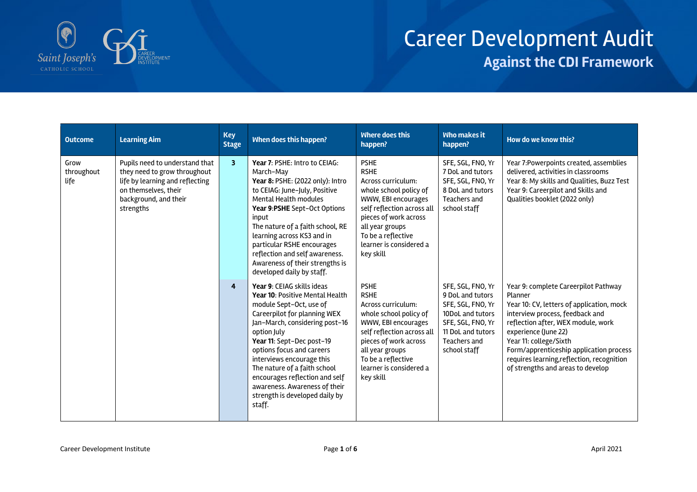

## Career Development Audit **Against the CDI Framework**

| <b>Outcome</b>             | <b>Learning Aim</b>                                                                                                                                             | <b>Key</b><br><b>Stage</b> | When does this happen?                                                                                                                                                                                                                                                                                                                                                                                          | <b>Where does this</b><br>happen?                                                                                                                                                                                                         | <b>Who makes it</b><br>happen?                                                                                                                           | How do we know this?                                                                                                                                                                                                                                                                                                                                  |
|----------------------------|-----------------------------------------------------------------------------------------------------------------------------------------------------------------|----------------------------|-----------------------------------------------------------------------------------------------------------------------------------------------------------------------------------------------------------------------------------------------------------------------------------------------------------------------------------------------------------------------------------------------------------------|-------------------------------------------------------------------------------------------------------------------------------------------------------------------------------------------------------------------------------------------|----------------------------------------------------------------------------------------------------------------------------------------------------------|-------------------------------------------------------------------------------------------------------------------------------------------------------------------------------------------------------------------------------------------------------------------------------------------------------------------------------------------------------|
| Grow<br>throughout<br>life | Pupils need to understand that<br>they need to grow throughout<br>life by learning and reflecting<br>on themselves, their<br>background, and their<br>strengths | 3                          | Year 7: PSHE: Intro to CEIAG:<br>March-May<br>Year 8: PSHE: (2022 only): Intro<br>to CEIAG: June-July, Positive<br><b>Mental Health modules</b><br>Year 9:PSHE Sept-Oct Options<br>input<br>The nature of a faith school, RE<br>learning across KS3 and in<br>particular RSHE encourages<br>reflection and self awareness.<br>Awareness of their strengths is<br>developed daily by staff.                      | <b>PSHE</b><br><b>RSHE</b><br>Across curriculum:<br>whole school policy of<br>WWW, EBI encourages<br>self reflection across all<br>pieces of work across<br>all year groups<br>To be a reflective<br>learner is considered a<br>key skill | SFE, SGL, FNO, Yr<br>7 DoL and tutors<br>SFE, SGL, FNO, Yr<br>8 DoL and tutors<br>Teachers and<br>school staff                                           | Year 7: Powerpoints created, assemblies<br>delivered, activities in classrooms<br>Year 8: My skills and Qualities, Buzz Test<br>Year 9: Careerpilot and Skills and<br>Qualities booklet (2022 only)                                                                                                                                                   |
|                            |                                                                                                                                                                 | 4                          | Year 9: CEIAG skills ideas<br>Year 10: Positive Mental Health<br>module Sept-Oct, use of<br>Careerpilot for planning WEX<br>Jan-March, considering post-16<br>option July<br>Year 11: Sept-Dec post-19<br>options focus and careers<br>interviews encourage this<br>The nature of a faith school<br>encourages reflection and self<br>awareness. Awareness of their<br>strength is developed daily by<br>staff. | <b>PSHE</b><br><b>RSHE</b><br>Across curriculum:<br>whole school policy of<br>WWW, EBI encourages<br>self reflection across all<br>pieces of work across<br>all year groups<br>To be a reflective<br>learner is considered a<br>key skill | SFE, SGL, FNO, Yr<br>9 DoL and tutors<br>SFE, SGL, FNO, Yr<br>10DoL and tutors<br>SFE, SGL, FNO, Yr<br>11 DoL and tutors<br>Teachers and<br>school staff | Year 9: complete Careerpilot Pathway<br>Planner<br>Year 10: CV, letters of application, mock<br>interview process, feedback and<br>reflection after, WEX module, work<br>experience (June 22)<br>Year 11: college/Sixth<br>Form/apprenticeship application process<br>requires learning, reflection, recognition<br>of strengths and areas to develop |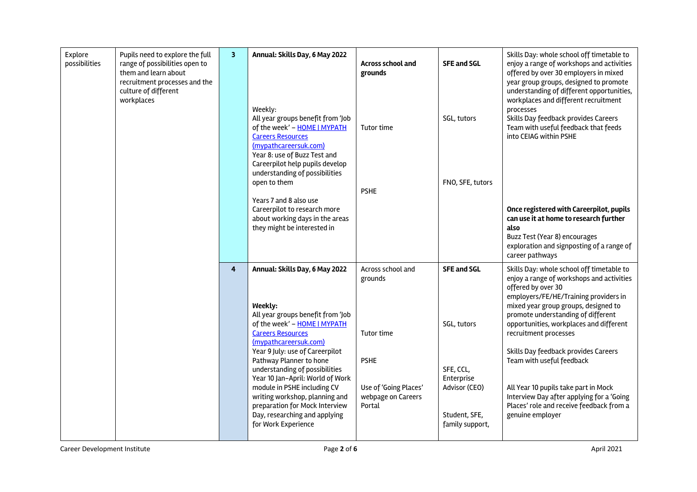| Explore | possibilities | Pupils need to explore the full<br>range of possibilities open to<br>them and learn about<br>recruitment processes and the<br>culture of different<br>workplaces | $\overline{\mathbf{3}}$ | Annual: Skills Day, 6 May 2022                                                                                                                                                                                                                                                                                       | Across school and<br>grounds                                         | <b>SFE and SGL</b>                                                           | Skills Day: whole school off timetable to<br>enjoy a range of workshops and activities<br>offered by over 30 employers in mixed<br>year group groups, designed to promote<br>understanding of different opportunities,<br>workplaces and different recruitment                                          |
|---------|---------------|------------------------------------------------------------------------------------------------------------------------------------------------------------------|-------------------------|----------------------------------------------------------------------------------------------------------------------------------------------------------------------------------------------------------------------------------------------------------------------------------------------------------------------|----------------------------------------------------------------------|------------------------------------------------------------------------------|---------------------------------------------------------------------------------------------------------------------------------------------------------------------------------------------------------------------------------------------------------------------------------------------------------|
|         |               |                                                                                                                                                                  |                         | Weekly:<br>All year groups benefit from 'Job<br>of the week' - HOME   MYPATH<br><b>Careers Resources</b><br>(mypathcareersuk.com)<br>Year 8: use of Buzz Test and<br>Careerpilot help pupils develop<br>understanding of possibilities                                                                               | Tutor time                                                           | SGL, tutors                                                                  | processes<br>Skills Day feedback provides Careers<br>Team with useful feedback that feeds<br>into CEIAG within PSHE                                                                                                                                                                                     |
|         |               |                                                                                                                                                                  |                         | open to them                                                                                                                                                                                                                                                                                                         | <b>PSHE</b>                                                          | FNO, SFE, tutors                                                             |                                                                                                                                                                                                                                                                                                         |
|         |               |                                                                                                                                                                  |                         | Years 7 and 8 also use<br>Careerpilot to research more<br>about working days in the areas<br>they might be interested in                                                                                                                                                                                             |                                                                      |                                                                              | Once registered with Careerpilot, pupils<br>can use it at home to research further<br>also<br>Buzz Test (Year 8) encourages<br>exploration and signposting of a range of<br>career pathways                                                                                                             |
|         |               |                                                                                                                                                                  | 4                       | Annual: Skills Day, 6 May 2022<br>Weekly:<br>All year groups benefit from 'Job<br>of the week' - HOME   MYPATH<br><b>Careers Resources</b>                                                                                                                                                                           | Across school and<br>grounds<br>Tutor time                           | <b>SFE and SGL</b><br>SGL, tutors                                            | Skills Day: whole school off timetable to<br>enjoy a range of workshops and activities<br>offered by over 30<br>employers/FE/HE/Training providers in<br>mixed year group groups, designed to<br>promote understanding of different<br>opportunities, workplaces and different<br>recruitment processes |
|         |               |                                                                                                                                                                  |                         | (mypathcareersuk.com)<br>Year 9 July: use of Careerpilot<br>Pathway Planner to hone<br>understanding of possibilities<br>Year 10 Jan-April: World of Work<br>module in PSHE including CV<br>writing workshop, planning and<br>preparation for Mock Interview<br>Day, researching and applying<br>for Work Experience | <b>PSHE</b><br>Use of 'Going Places'<br>webpage on Careers<br>Portal | SFE, CCL,<br>Enterprise<br>Advisor (CEO)<br>Student, SFE,<br>family support, | Skills Day feedback provides Careers<br>Team with useful feedback<br>All Year 10 pupils take part in Mock<br>Interview Day after applying for a 'Going<br>Places' role and receive feedback from a<br>genuine employer                                                                                  |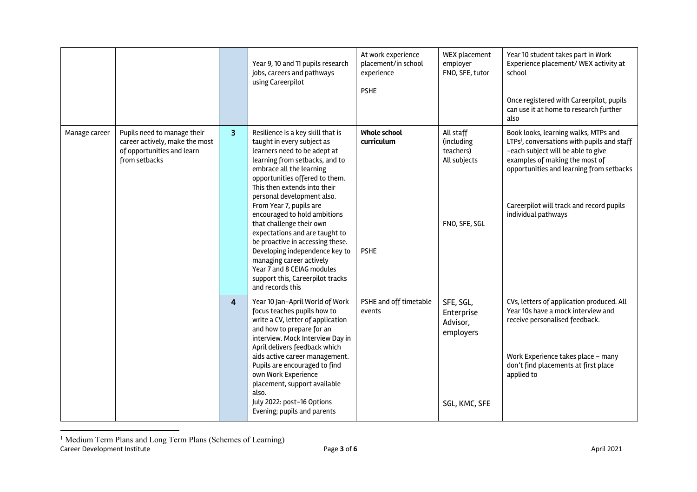|               |                                                                                                              |                         | Year 9, 10 and 11 pupils research<br>jobs, careers and pathways<br>using Careerpilot                                                                                                                                                                                                                                                                                                                                                                                                                                                                                           | At work experience<br>placement/in school<br>experience<br><b>PSHE</b> | WEX placement<br>employer<br>FNO, SFE, tutor                          | Year 10 student takes part in Work<br>Experience placement/ WEX activity at<br>school<br>Once registered with Careerpilot, pupils<br>can use it at home to research further<br>also                                                                                                    |
|---------------|--------------------------------------------------------------------------------------------------------------|-------------------------|--------------------------------------------------------------------------------------------------------------------------------------------------------------------------------------------------------------------------------------------------------------------------------------------------------------------------------------------------------------------------------------------------------------------------------------------------------------------------------------------------------------------------------------------------------------------------------|------------------------------------------------------------------------|-----------------------------------------------------------------------|----------------------------------------------------------------------------------------------------------------------------------------------------------------------------------------------------------------------------------------------------------------------------------------|
| Manage career | Pupils need to manage their<br>career actively, make the most<br>of opportunities and learn<br>from setbacks | $\overline{\mathbf{3}}$ | Resilience is a key skill that is<br>taught in every subject as<br>learners need to be adept at<br>learning from setbacks, and to<br>embrace all the learning<br>opportunities offered to them.<br>This then extends into their<br>personal development also.<br>From Year 7, pupils are<br>encouraged to hold ambitions<br>that challenge their own<br>expectations and are taught to<br>be proactive in accessing these.<br>Developing independence key to<br>managing career actively<br>Year 7 and 8 CEIAG modules<br>support this, Careerpilot tracks<br>and records this | <b>Whole school</b><br>curriculum<br><b>PSHE</b>                       | All staff<br>(including<br>teachers)<br>All subjects<br>FNO, SFE, SGL | Book looks, learning walks, MTPs and<br>LTPs <sup>1</sup> , conversations with pupils and staff<br>-each subject will be able to give<br>examples of making the most of<br>opportunities and learning from setbacks<br>Careerpilot will track and record pupils<br>individual pathways |
|               |                                                                                                              | $\overline{4}$          | Year 10 Jan-April World of Work<br>focus teaches pupils how to<br>write a CV, letter of application<br>and how to prepare for an<br>interview. Mock Interview Day in<br>April delivers feedback which<br>aids active career management.<br>Pupils are encouraged to find<br>own Work Experience<br>placement, support available<br>also.<br>July 2022: post-16 Options<br>Evening; pupils and parents                                                                                                                                                                          | PSHE and off timetable<br>events                                       | SFE, SGL,<br>Enterprise<br>Advisor,<br>employers<br>SGL, KMC, SFE     | CVs, letters of application produced. All<br>Year 10s have a mock interview and<br>receive personalised feedback.<br>Work Experience takes place - many<br>don't find placements at first place<br>applied to                                                                          |

Career Development Institute **Exercise 2021** Page **3** of **6 April 2021** <sup>1</sup> Medium Term Plans and Long Term Plans (Schemes of Learning)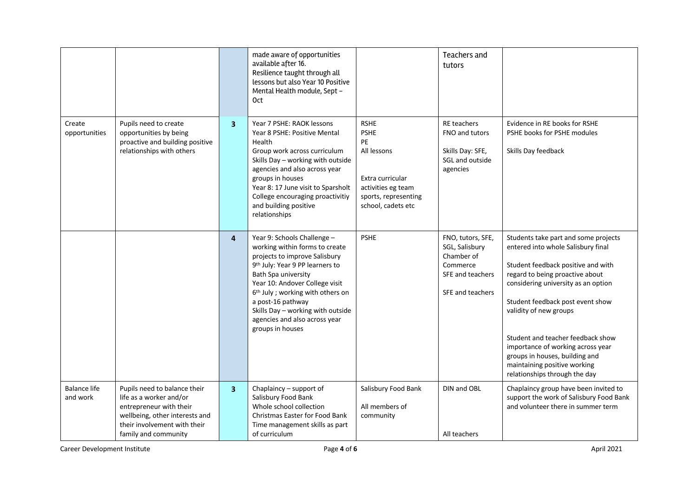|                                 |                                                                                                                                                                              |                         | made aware of opportunities<br>available after 16.<br>Resilience taught through all<br>lessons but also Year 10 Positive<br>Mental Health module, Sept -<br>0ct                                                                                                                                                                                                        |                                                                                                                                         | Teachers and<br>tutors                                                                                |                                                                                                                                                                                                                                                                                                                                                                                                                                       |
|---------------------------------|------------------------------------------------------------------------------------------------------------------------------------------------------------------------------|-------------------------|------------------------------------------------------------------------------------------------------------------------------------------------------------------------------------------------------------------------------------------------------------------------------------------------------------------------------------------------------------------------|-----------------------------------------------------------------------------------------------------------------------------------------|-------------------------------------------------------------------------------------------------------|---------------------------------------------------------------------------------------------------------------------------------------------------------------------------------------------------------------------------------------------------------------------------------------------------------------------------------------------------------------------------------------------------------------------------------------|
| Create<br>opportunities         | Pupils need to create<br>opportunities by being<br>proactive and building positive<br>relationships with others                                                              | $\overline{\mathbf{3}}$ | Year 7 PSHE: RAOK lessons<br>Year 8 PSHE: Positive Mental<br>Health<br>Group work across curriculum<br>Skills Day - working with outside<br>agencies and also across year<br>groups in houses<br>Year 8: 17 June visit to Sparsholt<br>College encouraging proactivitiy<br>and building positive<br>relationships                                                      | <b>RSHE</b><br><b>PSHE</b><br>PE<br>All lessons<br>Extra curricular<br>activities eg team<br>sports, representing<br>school, cadets etc | <b>RE</b> teachers<br>FNO and tutors<br>Skills Day: SFE,<br>SGL and outside<br>agencies               | Evidence in RE books for RSHE<br>PSHE books for PSHE modules<br>Skills Day feedback                                                                                                                                                                                                                                                                                                                                                   |
|                                 |                                                                                                                                                                              | $\overline{4}$          | Year 9: Schools Challenge -<br>working within forms to create<br>projects to improve Salisbury<br>9 <sup>th</sup> July: Year 9 PP learners to<br>Bath Spa university<br>Year 10: Andover College visit<br>6 <sup>th</sup> July ; working with others on<br>a post-16 pathway<br>Skills Day - working with outside<br>agencies and also across year<br>groups in houses | <b>PSHE</b>                                                                                                                             | FNO, tutors, SFE,<br>SGL, Salisbury<br>Chamber of<br>Commerce<br>SFE and teachers<br>SFE and teachers | Students take part and some projects<br>entered into whole Salisbury final<br>Student feedback positive and with<br>regard to being proactive about<br>considering university as an option<br>Student feedback post event show<br>validity of new groups<br>Student and teacher feedback show<br>importance of working across year<br>groups in houses, building and<br>maintaining positive working<br>relationships through the day |
| <b>Balance life</b><br>and work | Pupils need to balance their<br>life as a worker and/or<br>entrepreneur with their<br>wellbeing, other interests and<br>their involvement with their<br>family and community | $\overline{\mathbf{3}}$ | Chaplaincy - support of<br>Salisbury Food Bank<br>Whole school collection<br><b>Christmas Easter for Food Bank</b><br>Time management skills as part<br>of curriculum                                                                                                                                                                                                  | Salisbury Food Bank<br>All members of<br>community                                                                                      | DIN and OBL<br>All teachers                                                                           | Chaplaincy group have been invited to<br>support the work of Salisbury Food Bank<br>and volunteer there in summer term                                                                                                                                                                                                                                                                                                                |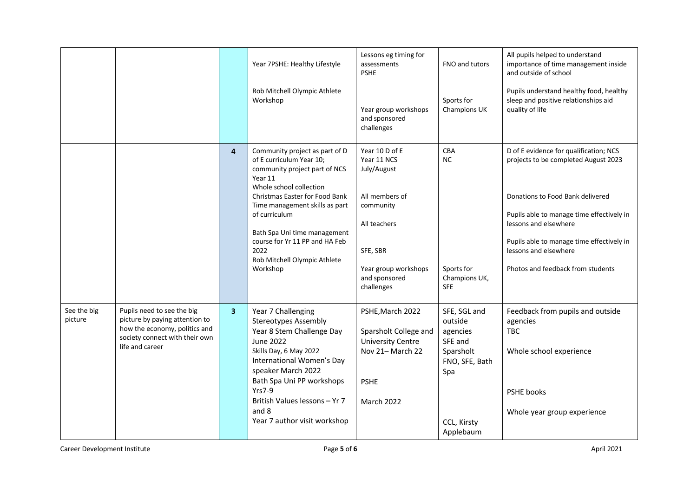|                        |                                                                 |   | Year 7PSHE: Healthy Lifestyle                                                                                                     | Lessons eg timing for<br>assessments<br><b>PSHE</b> | FNO and tutors                                | All pupils helped to understand<br>importance of time management inside<br>and outside of school   |
|------------------------|-----------------------------------------------------------------|---|-----------------------------------------------------------------------------------------------------------------------------------|-----------------------------------------------------|-----------------------------------------------|----------------------------------------------------------------------------------------------------|
|                        |                                                                 |   | Rob Mitchell Olympic Athlete<br>Workshop                                                                                          | Year group workshops<br>and sponsored<br>challenges | Sports for<br>Champions UK                    | Pupils understand healthy food, healthy<br>sleep and positive relationships aid<br>quality of life |
|                        |                                                                 | 4 | Community project as part of D<br>of E curriculum Year 10;<br>community project part of NCS<br>Year 11<br>Whole school collection | Year 10 D of E<br>Year 11 NCS<br>July/August        | <b>CBA</b><br><b>NC</b>                       | D of E evidence for qualification; NCS<br>projects to be completed August 2023                     |
|                        |                                                                 |   | Christmas Easter for Food Bank<br>Time management skills as part<br>of curriculum                                                 | All members of<br>community                         |                                               | Donations to Food Bank delivered<br>Pupils able to manage time effectively in                      |
|                        |                                                                 |   |                                                                                                                                   | All teachers                                        |                                               | lessons and elsewhere                                                                              |
|                        |                                                                 |   | Bath Spa Uni time management<br>course for Yr 11 PP and HA Feb<br>2022<br>Rob Mitchell Olympic Athlete                            | SFE, SBR                                            |                                               | Pupils able to manage time effectively in<br>lessons and elsewhere                                 |
|                        |                                                                 |   | Workshop                                                                                                                          | Year group workshops<br>and sponsored<br>challenges | Sports for<br>Champions UK,<br><b>SFE</b>     | Photos and feedback from students                                                                  |
| See the big<br>picture | Pupils need to see the big<br>picture by paying attention to    | 3 | Year 7 Challenging<br><b>Stereotypes Assembly</b>                                                                                 | PSHE, March 2022                                    | SFE, SGL and<br>outside                       | Feedback from pupils and outside                                                                   |
|                        | how the economy, politics and<br>society connect with their own |   | Year 8 Stem Challenge Day                                                                                                         | Sparsholt College and                               | agencies                                      | agencies<br><b>TBC</b>                                                                             |
|                        | life and career                                                 |   | <b>June 2022</b><br>Skills Day, 6 May 2022<br>International Women's Day<br>speaker March 2022                                     | <b>University Centre</b><br>Nov 21-March 22         | SFE and<br>Sparsholt<br>FNO, SFE, Bath<br>Spa | Whole school experience                                                                            |
|                        |                                                                 |   | Bath Spa Uni PP workshops<br><b>Yrs7-9</b>                                                                                        | <b>PSHE</b>                                         |                                               | PSHE books                                                                                         |
|                        |                                                                 |   | British Values lessons - Yr 7                                                                                                     | March 2022                                          |                                               |                                                                                                    |
|                        |                                                                 |   | and 8<br>Year 7 author visit workshop                                                                                             |                                                     | CCL, Kirsty                                   | Whole year group experience                                                                        |
|                        |                                                                 |   |                                                                                                                                   |                                                     | Applebaum                                     |                                                                                                    |